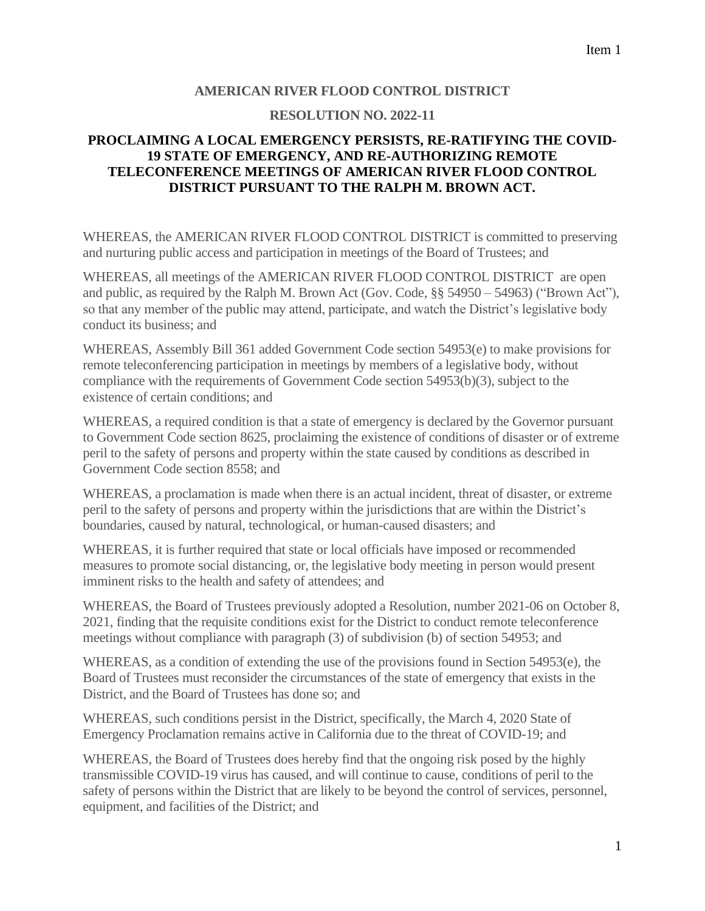## **AMERICAN RIVER FLOOD CONTROL DISTRICT**

## **RESOLUTION NO. 2022-11**

## **PROCLAIMING A LOCAL EMERGENCY PERSISTS, RE-RATIFYING THE COVID-19 STATE OF EMERGENCY, AND RE-AUTHORIZING REMOTE TELECONFERENCE MEETINGS OF AMERICAN RIVER FLOOD CONTROL DISTRICT PURSUANT TO THE RALPH M. BROWN ACT.**

WHEREAS, the AMERICAN RIVER FLOOD CONTROL DISTRICT is committed to preserving and nurturing public access and participation in meetings of the Board of Trustees; and

WHEREAS, all meetings of the AMERICAN RIVER FLOOD CONTROL DISTRICT are open and public, as required by the Ralph M. Brown Act (Gov. Code, §§ 54950 – 54963) ("Brown Act"), so that any member of the public may attend, participate, and watch the District's legislative body conduct its business; and

WHEREAS, Assembly Bill 361 added Government Code section 54953(e) to make provisions for remote teleconferencing participation in meetings by members of a legislative body, without compliance with the requirements of Government Code section 54953(b)(3), subject to the existence of certain conditions; and

WHEREAS, a required condition is that a state of emergency is declared by the Governor pursuant to Government Code section 8625, proclaiming the existence of conditions of disaster or of extreme peril to the safety of persons and property within the state caused by conditions as described in Government Code section 8558; and

WHEREAS, a proclamation is made when there is an actual incident, threat of disaster, or extreme peril to the safety of persons and property within the jurisdictions that are within the District's boundaries, caused by natural, technological, or human-caused disasters; and

WHEREAS, it is further required that state or local officials have imposed or recommended measures to promote social distancing, or, the legislative body meeting in person would present imminent risks to the health and safety of attendees; and

WHEREAS, the Board of Trustees previously adopted a Resolution, number 2021-06 on October 8, 2021, finding that the requisite conditions exist for the District to conduct remote teleconference meetings without compliance with paragraph (3) of subdivision (b) of section 54953; and

WHEREAS, as a condition of extending the use of the provisions found in Section 54953(e), the Board of Trustees must reconsider the circumstances of the state of emergency that exists in the District, and the Board of Trustees has done so; and

WHEREAS, such conditions persist in the District, specifically, the March 4, 2020 State of Emergency Proclamation remains active in California due to the threat of COVID-19; and

WHEREAS, the Board of Trustees does hereby find that the ongoing risk posed by the highly transmissible COVID-19 virus has caused, and will continue to cause, conditions of peril to the safety of persons within the District that are likely to be beyond the control of services, personnel, equipment, and facilities of the District; and